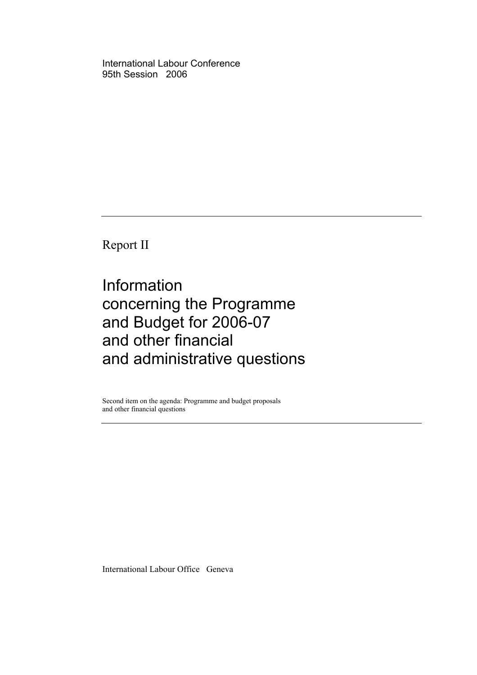International Labour Conference 95th Session 2006

Report II

Information concerning the Programme and Budget for 2006-07 and other financial and administrative questions

Second item on the agenda: Programme and budget proposals and other financial questions

International Labour Office Geneva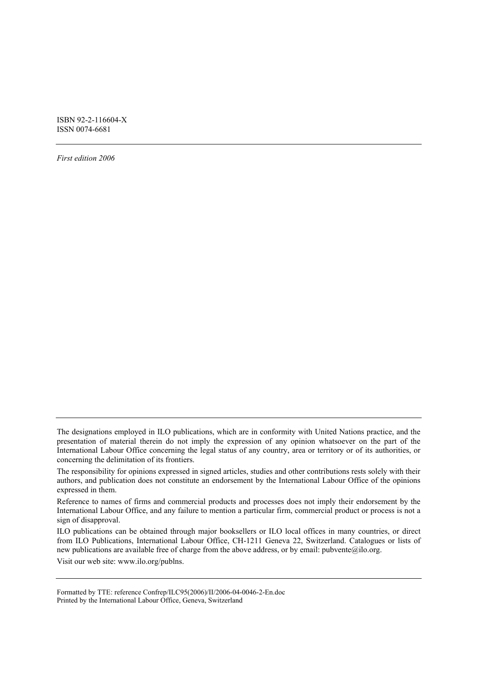ISBN 92-2-116604-X ISSN 0074-6681

*First edition 2006* 

The designations employed in ILO publications, which are in conformity with United Nations practice, and the presentation of material therein do not imply the expression of any opinion whatsoever on the part of the International Labour Office concerning the legal status of any country, area or territory or of its authorities, or concerning the delimitation of its frontiers.

The responsibility for opinions expressed in signed articles, studies and other contributions rests solely with their authors, and publication does not constitute an endorsement by the International Labour Office of the opinions expressed in them.

Reference to names of firms and commercial products and processes does not imply their endorsement by the International Labour Office, and any failure to mention a particular firm, commercial product or process is not a sign of disapproval.

ILO publications can be obtained through major booksellers or ILO local offices in many countries, or direct from ILO Publications, International Labour Office, CH-1211 Geneva 22, Switzerland. Catalogues or lists of new publications are available free of charge from the above address, or by email: pubvente@ilo.org.

Visit our web site: www.ilo.org/publns.

Formatted by TTE: reference Confrep/ILC95(2006)/II/2006-04-0046-2-En.doc Printed by the International Labour Office, Geneva, Switzerland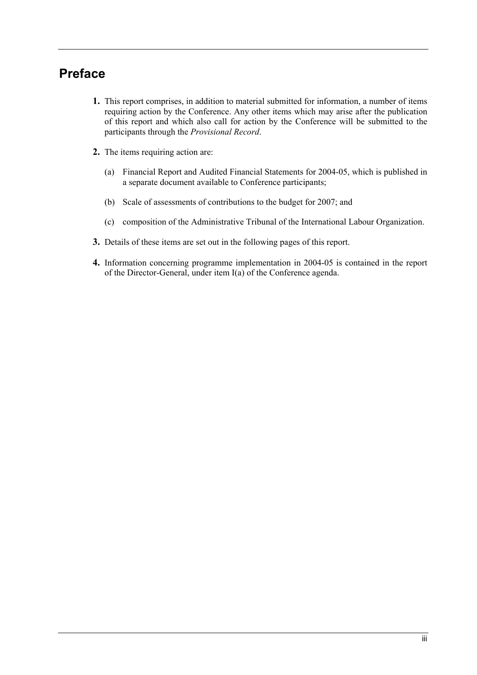# **Preface**

- **1.** This report comprises, in addition to material submitted for information, a number of items requiring action by the Conference. Any other items which may arise after the publication of this report and which also call for action by the Conference will be submitted to the participants through the *Provisional Record*.
- **2.** The items requiring action are:
	- (a) Financial Report and Audited Financial Statements for 2004-05, which is published in a separate document available to Conference participants;
	- (b) Scale of assessments of contributions to the budget for 2007; and
	- (c) composition of the Administrative Tribunal of the International Labour Organization.
- **3.** Details of these items are set out in the following pages of this report.
- **4.** Information concerning programme implementation in 2004-05 is contained in the report of the Director-General, under item I(a) of the Conference agenda.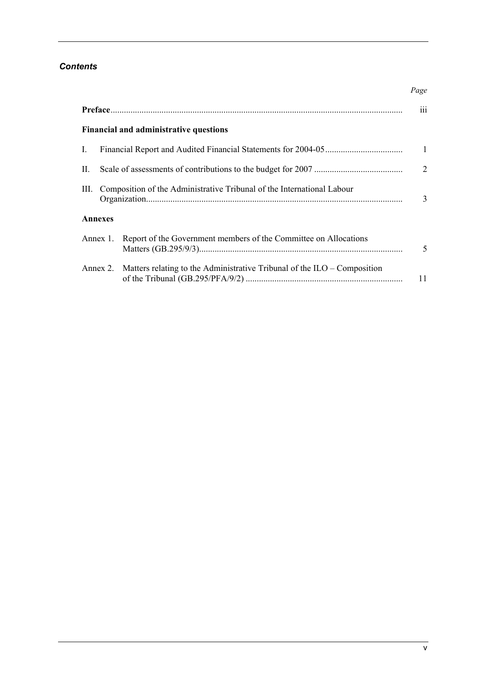### *Contents*

|                                                                                                                                                                                                                                                                                          |                                                                        |                                                                                     | Page           |  |
|------------------------------------------------------------------------------------------------------------------------------------------------------------------------------------------------------------------------------------------------------------------------------------------|------------------------------------------------------------------------|-------------------------------------------------------------------------------------|----------------|--|
| $Preface ________ ________ ________ ________ ________ ________ ________ ________ ________ ________ ________ ________ ________ ________ ________ ________ ________ ________ ________ ________ ________ ________ ________ ________ ________ ________ ________ ________ ________ ________ $ |                                                                        |                                                                                     |                |  |
|                                                                                                                                                                                                                                                                                          |                                                                        | <b>Financial and administrative questions</b>                                       |                |  |
| Ι.                                                                                                                                                                                                                                                                                       |                                                                        |                                                                                     | $\overline{1}$ |  |
| П.                                                                                                                                                                                                                                                                                       |                                                                        |                                                                                     | 2              |  |
| III.                                                                                                                                                                                                                                                                                     | Composition of the Administrative Tribunal of the International Labour |                                                                                     | 3              |  |
|                                                                                                                                                                                                                                                                                          | <b>Annexes</b>                                                         |                                                                                     |                |  |
|                                                                                                                                                                                                                                                                                          | Annex 1.                                                               | Report of the Government members of the Committee on Allocations                    | 5              |  |
|                                                                                                                                                                                                                                                                                          |                                                                        | Annex 2. Matters relating to the Administrative Tribunal of the $ILO - Composition$ | 11             |  |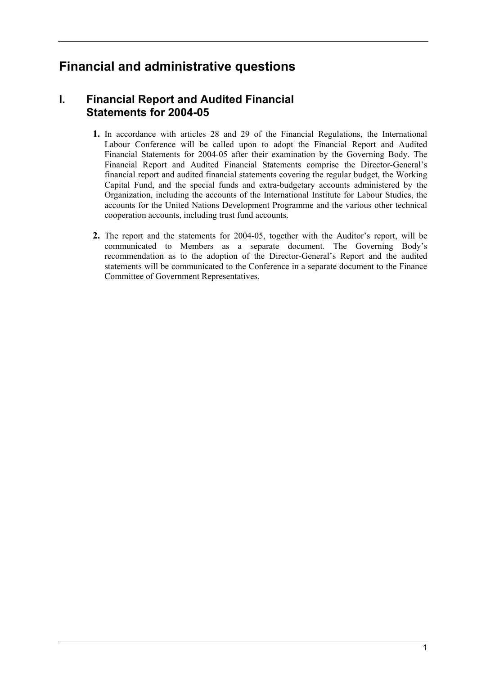# **Financial and administrative questions**

### **I. Financial Report and Audited Financial Statements for 2004-05**

- **1.** In accordance with articles 28 and 29 of the Financial Regulations, the International Labour Conference will be called upon to adopt the Financial Report and Audited Financial Statements for 2004-05 after their examination by the Governing Body. The Financial Report and Audited Financial Statements comprise the Director-General's financial report and audited financial statements covering the regular budget, the Working Capital Fund, and the special funds and extra-budgetary accounts administered by the Organization, including the accounts of the International Institute for Labour Studies, the accounts for the United Nations Development Programme and the various other technical cooperation accounts, including trust fund accounts.
- **2.** The report and the statements for 2004-05, together with the Auditor's report, will be communicated to Members as a separate document. The Governing Body's recommendation as to the adoption of the Director-General's Report and the audited statements will be communicated to the Conference in a separate document to the Finance Committee of Government Representatives.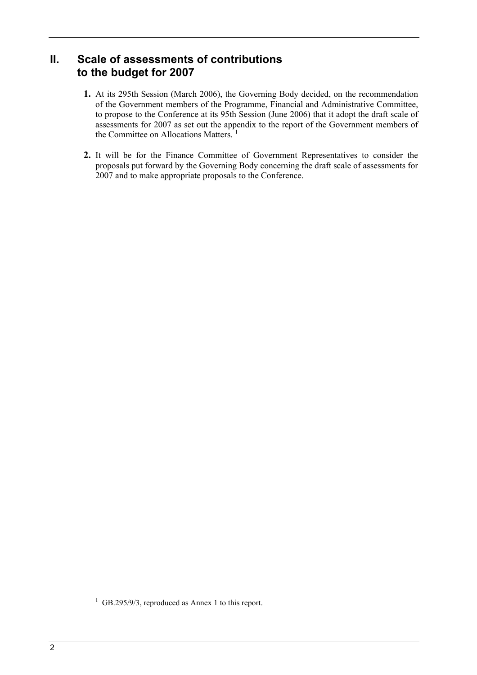### **II. Scale of assessments of contributions to the budget for 2007**

- **1.** At its 295th Session (March 2006), the Governing Body decided, on the recommendation of the Government members of the Programme, Financial and Administrative Committee, to propose to the Conference at its 95th Session (June 2006) that it adopt the draft scale of assessments for 2007 as set out the appendix to the report of the Government members of the Committee on Allocations Matters.<sup>1</sup>
- **2.** It will be for the Finance Committee of Government Representatives to consider the proposals put forward by the Governing Body concerning the draft scale of assessments for 2007 and to make appropriate proposals to the Conference.

<sup>&</sup>lt;sup>1</sup> GB.295/9/3, reproduced as Annex 1 to this report.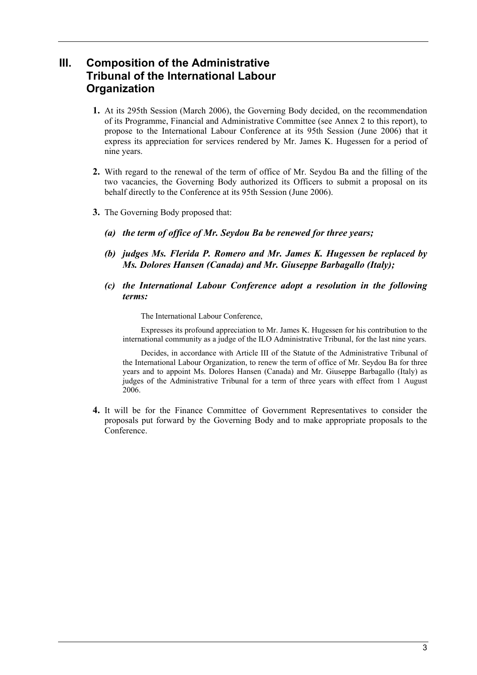## **III. Composition of the Administrative Tribunal of the International Labour Organization**

- **1.** At its 295th Session (March 2006), the Governing Body decided, on the recommendation of its Programme, Financial and Administrative Committee (see Annex 2 to this report), to propose to the International Labour Conference at its 95th Session (June 2006) that it express its appreciation for services rendered by Mr. James K. Hugessen for a period of nine years.
- **2.** With regard to the renewal of the term of office of Mr. Seydou Ba and the filling of the two vacancies, the Governing Body authorized its Officers to submit a proposal on its behalf directly to the Conference at its 95th Session (June 2006).
- **3.** The Governing Body proposed that:
	- *(a) the term of office of Mr. Seydou Ba be renewed for three years;*
	- *(b) judges Ms. Flerida P. Romero and Mr. James K. Hugessen be replaced by Ms. Dolores Hansen (Canada) and Mr. Giuseppe Barbagallo (Italy);*
	- *(c) the International Labour Conference adopt a resolution in the following terms:*

The International Labour Conference,

Expresses its profound appreciation to Mr. James K. Hugessen for his contribution to the international community as a judge of the ILO Administrative Tribunal, for the last nine years.

Decides, in accordance with Article III of the Statute of the Administrative Tribunal of the International Labour Organization, to renew the term of office of Mr. Seydou Ba for three years and to appoint Ms. Dolores Hansen (Canada) and Mr. Giuseppe Barbagallo (Italy) as judges of the Administrative Tribunal for a term of three years with effect from 1 August 2006.

**4.** It will be for the Finance Committee of Government Representatives to consider the proposals put forward by the Governing Body and to make appropriate proposals to the Conference.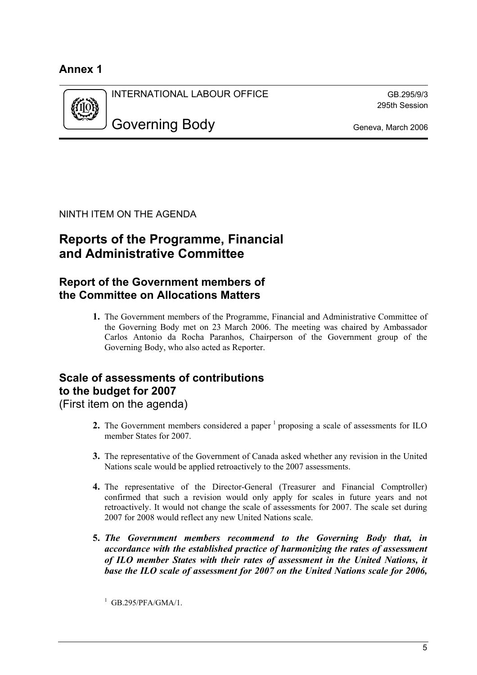## **Annex 1**



INTERNATIONAL LABOUR OFFICE GB.295/9/3

295th Session

Governing Body Geneva, March 2006

NINTH ITEM ON THE AGENDA

# **Reports of the Programme, Financial and Administrative Committee**

### **Report of the Government members of the Committee on Allocations Matters**

**1.** The Government members of the Programme, Financial and Administrative Committee of the Governing Body met on 23 March 2006. The meeting was chaired by Ambassador Carlos Antonio da Rocha Paranhos, Chairperson of the Government group of the Governing Body, who also acted as Reporter.

## **Scale of assessments of contributions to the budget for 2007**

(First item on the agenda)

- **2.** The Government members considered a paper  $\frac{1}{1}$  proposing a scale of assessments for ILO member States for 2007.
- **3.** The representative of the Government of Canada asked whether any revision in the United Nations scale would be applied retroactively to the 2007 assessments.
- **4.** The representative of the Director-General (Treasurer and Financial Comptroller) confirmed that such a revision would only apply for scales in future years and not retroactively. It would not change the scale of assessments for 2007. The scale set during 2007 for 2008 would reflect any new United Nations scale.
- **5.** *The Government members recommend to the Governing Body that, in accordance with the established practice of harmonizing the rates of assessment of ILO member States with their rates of assessment in the United Nations, it base the ILO scale of assessment for 2007 on the United Nations scale for 2006,*

<sup>1</sup> GB.295/PFA/GMA/1.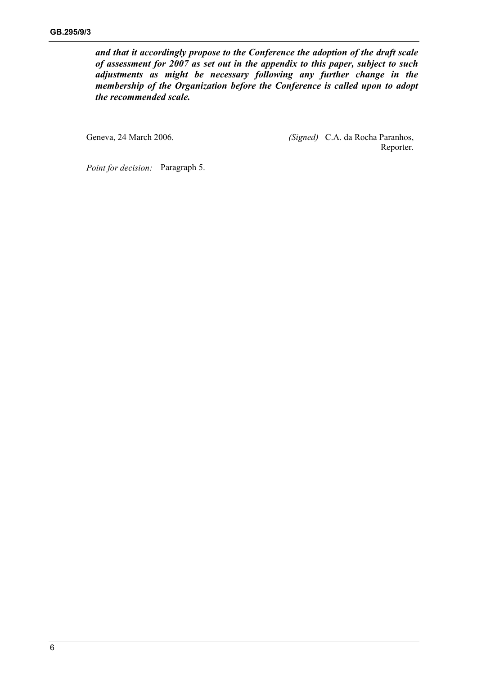*and that it accordingly propose to the Conference the adoption of the draft scale of assessment for 2007 as set out in the appendix to this paper, subject to such adjustments as might be necessary following any further change in the membership of the Organization before the Conference is called upon to adopt the recommended scale.* 

Geneva, 24 March 2006. *(Signed)* C.A. da Rocha Paranhos, Reporter.

*Point for decision:* Paragraph 5.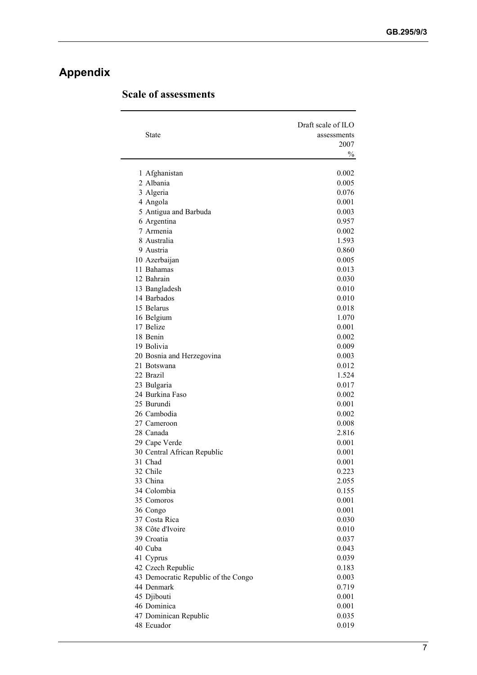# **Appendix**

| 2007<br>$\%$<br>1 Afghanistan<br>0.002<br>2 Albania<br>0.005<br>3 Algeria<br>0.076<br>4 Angola<br>0.001<br>0.003<br>5 Antigua and Barbuda<br>6 Argentina<br>0.957<br>7 Armenia<br>0.002<br>8 Australia<br>1.593<br>9 Austria<br>0.860<br>0.005<br>10 Azerbaijan<br>0.013<br>11 Bahamas<br>12 Bahrain<br>0.030<br>13 Bangladesh<br>0.010<br>14 Barbados<br>0.010<br>15 Belarus<br>0.018<br>16 Belgium<br>1.070<br>17 Belize<br>0.001<br>18 Benin<br>0.002<br>19 Bolivia<br>0.009<br>20 Bosnia and Herzegovina<br>0.003<br>0.012<br>21 Botswana<br>22 Brazil<br>1.524<br>23 Bulgaria<br>0.017<br>24 Burkina Faso<br>0.002<br>25 Burundi<br>0.001<br>0.002<br>26 Cambodia<br>27 Cameroon<br>0.008<br>28 Canada<br>2.816<br>29 Cape Verde<br>0.001<br>0.001<br>30 Central African Republic<br>31 Chad<br>0.001<br>32 Chile<br>0.223<br>33 China<br>2.055<br>34 Colombia<br>0.155<br>35 Comoros<br>0.001<br>0.001<br>36 Congo<br>37 Costa Rica<br>0.030<br>38 Côte d'Ivoire<br>0.010<br>39 Croatia<br>0.037<br>40 Cuba<br>0.043<br>41 Cyprus<br>0.039<br>42 Czech Republic<br>0.183<br>43 Democratic Republic of the Congo<br>0.003<br>0.719<br>44 Denmark<br>45 Djibouti<br>0.001<br>46 Dominica<br>0.001<br>47 Dominican Republic<br>0.035 |            | Draft scale of ILO |
|-----------------------------------------------------------------------------------------------------------------------------------------------------------------------------------------------------------------------------------------------------------------------------------------------------------------------------------------------------------------------------------------------------------------------------------------------------------------------------------------------------------------------------------------------------------------------------------------------------------------------------------------------------------------------------------------------------------------------------------------------------------------------------------------------------------------------------------------------------------------------------------------------------------------------------------------------------------------------------------------------------------------------------------------------------------------------------------------------------------------------------------------------------------------------------------------------------------------------------------------|------------|--------------------|
|                                                                                                                                                                                                                                                                                                                                                                                                                                                                                                                                                                                                                                                                                                                                                                                                                                                                                                                                                                                                                                                                                                                                                                                                                                         | State      | assessments        |
|                                                                                                                                                                                                                                                                                                                                                                                                                                                                                                                                                                                                                                                                                                                                                                                                                                                                                                                                                                                                                                                                                                                                                                                                                                         |            |                    |
|                                                                                                                                                                                                                                                                                                                                                                                                                                                                                                                                                                                                                                                                                                                                                                                                                                                                                                                                                                                                                                                                                                                                                                                                                                         |            |                    |
|                                                                                                                                                                                                                                                                                                                                                                                                                                                                                                                                                                                                                                                                                                                                                                                                                                                                                                                                                                                                                                                                                                                                                                                                                                         |            |                    |
|                                                                                                                                                                                                                                                                                                                                                                                                                                                                                                                                                                                                                                                                                                                                                                                                                                                                                                                                                                                                                                                                                                                                                                                                                                         |            |                    |
|                                                                                                                                                                                                                                                                                                                                                                                                                                                                                                                                                                                                                                                                                                                                                                                                                                                                                                                                                                                                                                                                                                                                                                                                                                         |            |                    |
|                                                                                                                                                                                                                                                                                                                                                                                                                                                                                                                                                                                                                                                                                                                                                                                                                                                                                                                                                                                                                                                                                                                                                                                                                                         |            |                    |
|                                                                                                                                                                                                                                                                                                                                                                                                                                                                                                                                                                                                                                                                                                                                                                                                                                                                                                                                                                                                                                                                                                                                                                                                                                         |            |                    |
|                                                                                                                                                                                                                                                                                                                                                                                                                                                                                                                                                                                                                                                                                                                                                                                                                                                                                                                                                                                                                                                                                                                                                                                                                                         |            |                    |
|                                                                                                                                                                                                                                                                                                                                                                                                                                                                                                                                                                                                                                                                                                                                                                                                                                                                                                                                                                                                                                                                                                                                                                                                                                         |            |                    |
|                                                                                                                                                                                                                                                                                                                                                                                                                                                                                                                                                                                                                                                                                                                                                                                                                                                                                                                                                                                                                                                                                                                                                                                                                                         |            |                    |
|                                                                                                                                                                                                                                                                                                                                                                                                                                                                                                                                                                                                                                                                                                                                                                                                                                                                                                                                                                                                                                                                                                                                                                                                                                         |            |                    |
|                                                                                                                                                                                                                                                                                                                                                                                                                                                                                                                                                                                                                                                                                                                                                                                                                                                                                                                                                                                                                                                                                                                                                                                                                                         |            |                    |
|                                                                                                                                                                                                                                                                                                                                                                                                                                                                                                                                                                                                                                                                                                                                                                                                                                                                                                                                                                                                                                                                                                                                                                                                                                         |            |                    |
|                                                                                                                                                                                                                                                                                                                                                                                                                                                                                                                                                                                                                                                                                                                                                                                                                                                                                                                                                                                                                                                                                                                                                                                                                                         |            |                    |
|                                                                                                                                                                                                                                                                                                                                                                                                                                                                                                                                                                                                                                                                                                                                                                                                                                                                                                                                                                                                                                                                                                                                                                                                                                         |            |                    |
|                                                                                                                                                                                                                                                                                                                                                                                                                                                                                                                                                                                                                                                                                                                                                                                                                                                                                                                                                                                                                                                                                                                                                                                                                                         |            |                    |
|                                                                                                                                                                                                                                                                                                                                                                                                                                                                                                                                                                                                                                                                                                                                                                                                                                                                                                                                                                                                                                                                                                                                                                                                                                         |            |                    |
|                                                                                                                                                                                                                                                                                                                                                                                                                                                                                                                                                                                                                                                                                                                                                                                                                                                                                                                                                                                                                                                                                                                                                                                                                                         |            |                    |
|                                                                                                                                                                                                                                                                                                                                                                                                                                                                                                                                                                                                                                                                                                                                                                                                                                                                                                                                                                                                                                                                                                                                                                                                                                         |            |                    |
|                                                                                                                                                                                                                                                                                                                                                                                                                                                                                                                                                                                                                                                                                                                                                                                                                                                                                                                                                                                                                                                                                                                                                                                                                                         |            |                    |
|                                                                                                                                                                                                                                                                                                                                                                                                                                                                                                                                                                                                                                                                                                                                                                                                                                                                                                                                                                                                                                                                                                                                                                                                                                         |            |                    |
|                                                                                                                                                                                                                                                                                                                                                                                                                                                                                                                                                                                                                                                                                                                                                                                                                                                                                                                                                                                                                                                                                                                                                                                                                                         |            |                    |
|                                                                                                                                                                                                                                                                                                                                                                                                                                                                                                                                                                                                                                                                                                                                                                                                                                                                                                                                                                                                                                                                                                                                                                                                                                         |            |                    |
|                                                                                                                                                                                                                                                                                                                                                                                                                                                                                                                                                                                                                                                                                                                                                                                                                                                                                                                                                                                                                                                                                                                                                                                                                                         |            |                    |
|                                                                                                                                                                                                                                                                                                                                                                                                                                                                                                                                                                                                                                                                                                                                                                                                                                                                                                                                                                                                                                                                                                                                                                                                                                         |            |                    |
|                                                                                                                                                                                                                                                                                                                                                                                                                                                                                                                                                                                                                                                                                                                                                                                                                                                                                                                                                                                                                                                                                                                                                                                                                                         |            |                    |
|                                                                                                                                                                                                                                                                                                                                                                                                                                                                                                                                                                                                                                                                                                                                                                                                                                                                                                                                                                                                                                                                                                                                                                                                                                         |            |                    |
|                                                                                                                                                                                                                                                                                                                                                                                                                                                                                                                                                                                                                                                                                                                                                                                                                                                                                                                                                                                                                                                                                                                                                                                                                                         |            |                    |
|                                                                                                                                                                                                                                                                                                                                                                                                                                                                                                                                                                                                                                                                                                                                                                                                                                                                                                                                                                                                                                                                                                                                                                                                                                         |            |                    |
|                                                                                                                                                                                                                                                                                                                                                                                                                                                                                                                                                                                                                                                                                                                                                                                                                                                                                                                                                                                                                                                                                                                                                                                                                                         |            |                    |
|                                                                                                                                                                                                                                                                                                                                                                                                                                                                                                                                                                                                                                                                                                                                                                                                                                                                                                                                                                                                                                                                                                                                                                                                                                         |            |                    |
|                                                                                                                                                                                                                                                                                                                                                                                                                                                                                                                                                                                                                                                                                                                                                                                                                                                                                                                                                                                                                                                                                                                                                                                                                                         |            |                    |
|                                                                                                                                                                                                                                                                                                                                                                                                                                                                                                                                                                                                                                                                                                                                                                                                                                                                                                                                                                                                                                                                                                                                                                                                                                         |            |                    |
|                                                                                                                                                                                                                                                                                                                                                                                                                                                                                                                                                                                                                                                                                                                                                                                                                                                                                                                                                                                                                                                                                                                                                                                                                                         |            |                    |
|                                                                                                                                                                                                                                                                                                                                                                                                                                                                                                                                                                                                                                                                                                                                                                                                                                                                                                                                                                                                                                                                                                                                                                                                                                         |            |                    |
|                                                                                                                                                                                                                                                                                                                                                                                                                                                                                                                                                                                                                                                                                                                                                                                                                                                                                                                                                                                                                                                                                                                                                                                                                                         |            |                    |
|                                                                                                                                                                                                                                                                                                                                                                                                                                                                                                                                                                                                                                                                                                                                                                                                                                                                                                                                                                                                                                                                                                                                                                                                                                         |            |                    |
|                                                                                                                                                                                                                                                                                                                                                                                                                                                                                                                                                                                                                                                                                                                                                                                                                                                                                                                                                                                                                                                                                                                                                                                                                                         |            |                    |
|                                                                                                                                                                                                                                                                                                                                                                                                                                                                                                                                                                                                                                                                                                                                                                                                                                                                                                                                                                                                                                                                                                                                                                                                                                         |            |                    |
|                                                                                                                                                                                                                                                                                                                                                                                                                                                                                                                                                                                                                                                                                                                                                                                                                                                                                                                                                                                                                                                                                                                                                                                                                                         |            |                    |
|                                                                                                                                                                                                                                                                                                                                                                                                                                                                                                                                                                                                                                                                                                                                                                                                                                                                                                                                                                                                                                                                                                                                                                                                                                         |            |                    |
|                                                                                                                                                                                                                                                                                                                                                                                                                                                                                                                                                                                                                                                                                                                                                                                                                                                                                                                                                                                                                                                                                                                                                                                                                                         |            |                    |
|                                                                                                                                                                                                                                                                                                                                                                                                                                                                                                                                                                                                                                                                                                                                                                                                                                                                                                                                                                                                                                                                                                                                                                                                                                         |            |                    |
|                                                                                                                                                                                                                                                                                                                                                                                                                                                                                                                                                                                                                                                                                                                                                                                                                                                                                                                                                                                                                                                                                                                                                                                                                                         |            |                    |
|                                                                                                                                                                                                                                                                                                                                                                                                                                                                                                                                                                                                                                                                                                                                                                                                                                                                                                                                                                                                                                                                                                                                                                                                                                         |            |                    |
|                                                                                                                                                                                                                                                                                                                                                                                                                                                                                                                                                                                                                                                                                                                                                                                                                                                                                                                                                                                                                                                                                                                                                                                                                                         |            |                    |
|                                                                                                                                                                                                                                                                                                                                                                                                                                                                                                                                                                                                                                                                                                                                                                                                                                                                                                                                                                                                                                                                                                                                                                                                                                         |            |                    |
|                                                                                                                                                                                                                                                                                                                                                                                                                                                                                                                                                                                                                                                                                                                                                                                                                                                                                                                                                                                                                                                                                                                                                                                                                                         |            |                    |
|                                                                                                                                                                                                                                                                                                                                                                                                                                                                                                                                                                                                                                                                                                                                                                                                                                                                                                                                                                                                                                                                                                                                                                                                                                         |            |                    |
|                                                                                                                                                                                                                                                                                                                                                                                                                                                                                                                                                                                                                                                                                                                                                                                                                                                                                                                                                                                                                                                                                                                                                                                                                                         | 48 Ecuador | 0.019              |

### **Scale of assessments**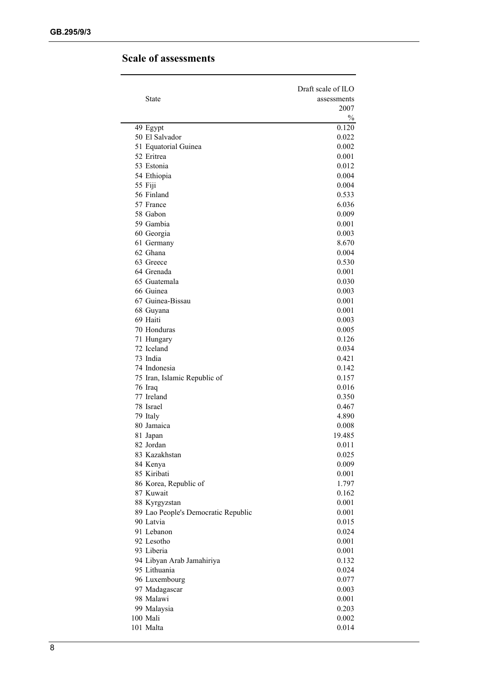|                                     | Draft scale of ILO |
|-------------------------------------|--------------------|
| State                               | assessments        |
|                                     | 2007               |
|                                     | $\%$               |
| 49 Egypt                            | 0.120              |
| 50 El Salvador                      | 0.022              |
| 51 Equatorial Guinea                | 0.002              |
| 52 Eritrea                          | 0.001              |
| 53 Estonia                          | 0.012              |
| 54 Ethiopia                         | 0.004              |
| 55 Fiji                             | 0.004              |
| 56 Finland                          | 0.533              |
| 57 France                           | 6.036              |
| 58 Gabon                            | 0.009              |
| 59 Gambia                           | 0.001              |
| 60 Georgia                          | 0.003              |
| 61 Germany                          | 8.670              |
| 62 Ghana                            | 0.004              |
| 63 Greece                           | 0.530              |
| 64 Grenada                          | 0.001              |
| 65 Guatemala                        | 0.030              |
| 66 Guinea                           | 0.003              |
| 67 Guinea-Bissau                    | 0.001              |
| 68 Guyana                           | 0.001              |
| 69 Haiti                            | 0.003              |
| 70 Honduras                         | 0.005              |
| 71 Hungary                          | 0.126              |
| 72 Iceland                          | 0.034              |
| 73 India                            | 0.421              |
| 74 Indonesia                        | 0.142              |
| 75 Iran, Islamic Republic of        | 0.157              |
| 76 Iraq                             | 0.016              |
| 77 Ireland                          | 0.350              |
| 78 Israel                           | 0.467              |
| 79 Italy                            | 4.890              |
| 80 Jamaica                          | 0.008              |
| 81 Japan                            | 19.485             |
| 82 Jordan                           | 0.011              |
| 83 Kazakhstan                       | 0.025              |
| 84 Kenya                            | 0.009              |
| 85 Kiribati                         | 0.001              |
| 86 Korea, Republic of               | 1.797              |
| 87 Kuwait                           | 0.162              |
| 88 Kyrgyzstan                       | 0.001              |
| 89 Lao People's Democratic Republic | 0.001              |
| 90 Latvia                           | 0.015              |
| 91 Lebanon                          | 0.024              |
| 92 Lesotho                          | 0.001              |
| 93 Liberia                          | 0.001              |
| 94 Libyan Arab Jamahiriya           | 0.132              |
| 95 Lithuania                        | 0.024              |
| 96 Luxembourg                       | 0.077              |
| 97 Madagascar                       | 0.003              |
| 98 Malawi                           | 0.001              |
| 99 Malaysia                         | 0.203              |
| 100 Mali                            | 0.002              |
| 101 Malta                           | 0.014              |

#### **Scale of assessments**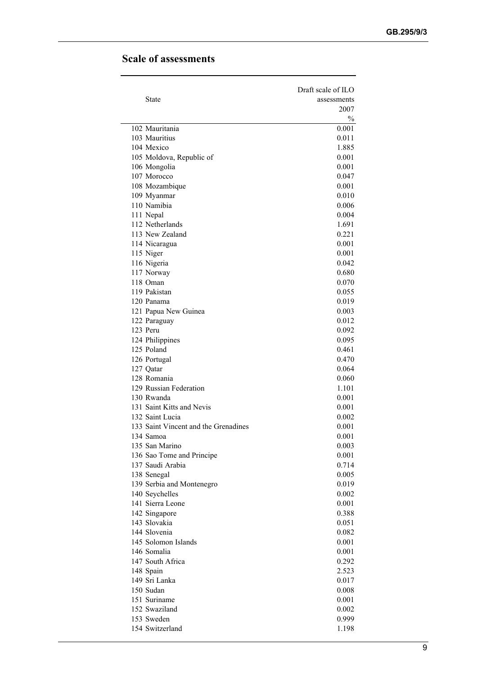|                                      | Draft scale of ILO |
|--------------------------------------|--------------------|
| State                                | assessments        |
|                                      | 2007               |
|                                      | $\%$               |
| 102 Mauritania                       | 0.001              |
| 103 Mauritius                        | 0.011              |
| 104 Mexico                           | 1.885              |
| 105 Moldova, Republic of             | 0.001              |
| 106 Mongolia                         | 0.001              |
| 107 Morocco                          | 0.047              |
| 108 Mozambique                       | 0.001              |
| 109 Myanmar                          | 0.010              |
| 110 Namibia                          | 0.006              |
| 111 Nepal                            | 0.004              |
| 112 Netherlands                      | 1.691              |
| 113 New Zealand                      | 0.221              |
| 114 Nicaragua                        | 0.001              |
| 115 Niger                            | 0.001              |
| 116 Nigeria                          | 0.042              |
| 117 Norway                           | 0.680              |
| 118 Oman                             | 0.070              |
| 119 Pakistan                         | 0.055              |
| 120 Panama                           | 0.019              |
| 121 Papua New Guinea                 | 0.003              |
| 122 Paraguay                         | 0.012              |
| 123 Peru                             | 0.092              |
| 124 Philippines                      | 0.095              |
| 125 Poland                           | 0.461              |
| 126 Portugal                         | 0.470              |
| 127 Qatar                            | 0.064              |
| 128 Romania                          | 0.060              |
| 129 Russian Federation               | 1.101              |
| 130 Rwanda                           | 0.001              |
| 131 Saint Kitts and Nevis            | 0.001              |
| 132 Saint Lucia                      | 0.002              |
| 133 Saint Vincent and the Grenadines | 0.001              |
| 134 Samoa                            | 0.001              |
| 135 San Marino                       | 0.003              |
| 136 Sao Tome and Principe            | 0.001              |
| 137 Saudi Arabia                     | 0.714              |
| 138 Senegal                          | 0.005              |
| 139 Serbia and Montenegro            | 0.019              |
| 140 Seychelles                       | 0.002              |
| 141 Sierra Leone                     | 0.001              |
| 142 Singapore                        | 0.388              |
| 143 Slovakia                         | 0.051              |
| 144 Slovenia                         | 0.082              |
| 145 Solomon Islands                  | 0.001              |
| 146 Somalia                          | 0.001              |
| 147 South Africa                     | 0.292              |
| 148 Spain                            | 2.523              |
| 149 Sri Lanka                        | 0.017              |
| 150 Sudan                            | 0.008              |
| 151 Suriname                         | 0.001              |
| 152 Swaziland                        | 0.002              |
| 153 Sweden                           | 0.999              |
| 154 Switzerland                      | 1.198              |
|                                      |                    |

### **Scale of assessments**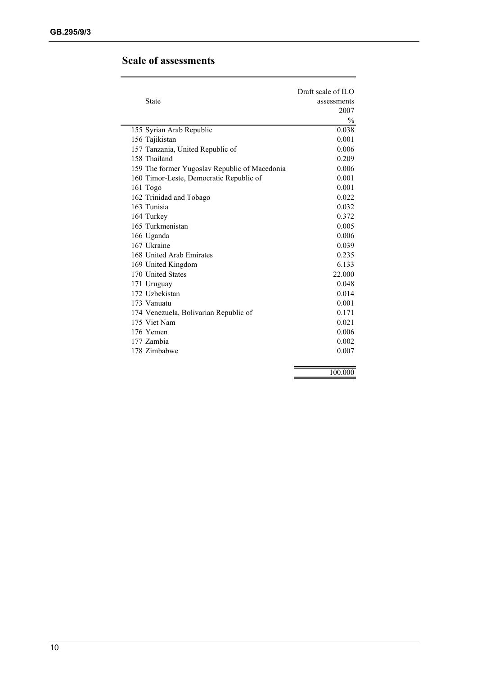|                                               | Draft scale of $II.O$ |
|-----------------------------------------------|-----------------------|
| State                                         | assessments           |
|                                               | 2007                  |
|                                               | $\frac{0}{0}$         |
| 155 Syrian Arab Republic                      | 0.038                 |
| 156 Tajikistan                                | 0.001                 |
| 157 Tanzania, United Republic of              | 0.006                 |
| 158 Thailand                                  | 0.209                 |
| 159 The former Yugoslav Republic of Macedonia | 0.006                 |
| 160 Timor-Leste, Democratic Republic of       | 0.001                 |
| 161 Togo                                      | 0.001                 |
| 162 Trinidad and Tobago                       | 0.022                 |
| 163 Tunisia                                   | 0.032                 |
| 164 Turkey                                    | 0.372                 |
| 165 Turkmenistan                              | 0.005                 |
| 166 Uganda                                    | 0.006                 |
| 167 Ukraine                                   | 0.039                 |
| 168 United Arab Emirates                      | 0.235                 |
| 169 United Kingdom                            | 6.133                 |
| 170 United States                             | 22.000                |
| 171 Uruguay                                   | 0.048                 |
| 172 Uzbekistan                                | 0.014                 |
| 173 Vanuatu                                   | 0.001                 |
| 174 Venezuela, Bolivarian Republic of         | 0.171                 |
| 175 Viet Nam                                  | 0.021                 |
| 176 Yemen                                     | 0.006                 |
| 177 Zambia                                    | 0.002                 |
| 178 Zimbabwe                                  | 0.007                 |
|                                               |                       |

### **Scale of assessments**

100.000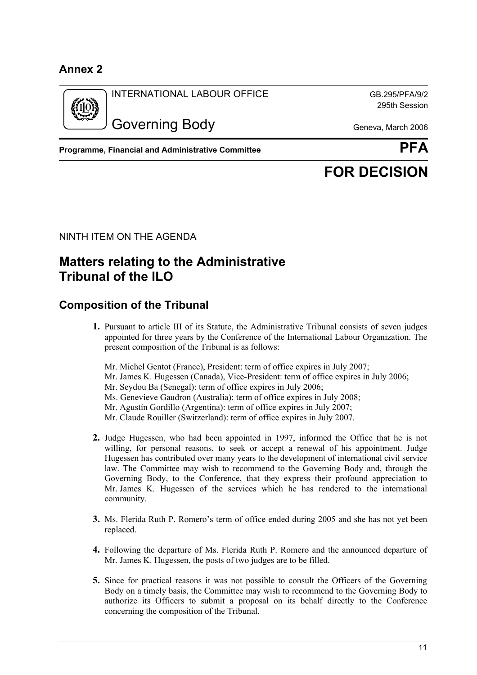## **Annex 2**



#### INTERNATIONAL LABOUR OFFICE GB.295/PFA/9/2

295th Session

Governing Body Geneva, March 2006

**Programme, Financial and Administrative Committee Administrative PFA** 

# **FOR DECISION**

NINTH ITEM ON THE AGENDA

## **Matters relating to the Administrative Tribunal of the ILO**

### **Composition of the Tribunal**

- **1.** Pursuant to article III of its Statute, the Administrative Tribunal consists of seven judges appointed for three years by the Conference of the International Labour Organization. The present composition of the Tribunal is as follows:
	- Mr. Michel Gentot (France), President: term of office expires in July 2007; Mr. James K. Hugessen (Canada), Vice-President: term of office expires in July 2006; Mr. Seydou Ba (Senegal): term of office expires in July 2006; Ms. Genevieve Gaudron (Australia): term of office expires in July 2008; Mr. Agustín Gordillo (Argentina): term of office expires in July 2007; Mr. Claude Rouiller (Switzerland): term of office expires in July 2007.
- **2.** Judge Hugessen, who had been appointed in 1997, informed the Office that he is not willing, for personal reasons, to seek or accept a renewal of his appointment. Judge Hugessen has contributed over many years to the development of international civil service law. The Committee may wish to recommend to the Governing Body and, through the Governing Body, to the Conference, that they express their profound appreciation to Mr. James K. Hugessen of the services which he has rendered to the international community.
- **3.** Ms. Flerida Ruth P. Romero's term of office ended during 2005 and she has not yet been replaced.
- **4.** Following the departure of Ms. Flerida Ruth P. Romero and the announced departure of Mr. James K. Hugessen, the posts of two judges are to be filled.
- **5.** Since for practical reasons it was not possible to consult the Officers of the Governing Body on a timely basis, the Committee may wish to recommend to the Governing Body to authorize its Officers to submit a proposal on its behalf directly to the Conference concerning the composition of the Tribunal.